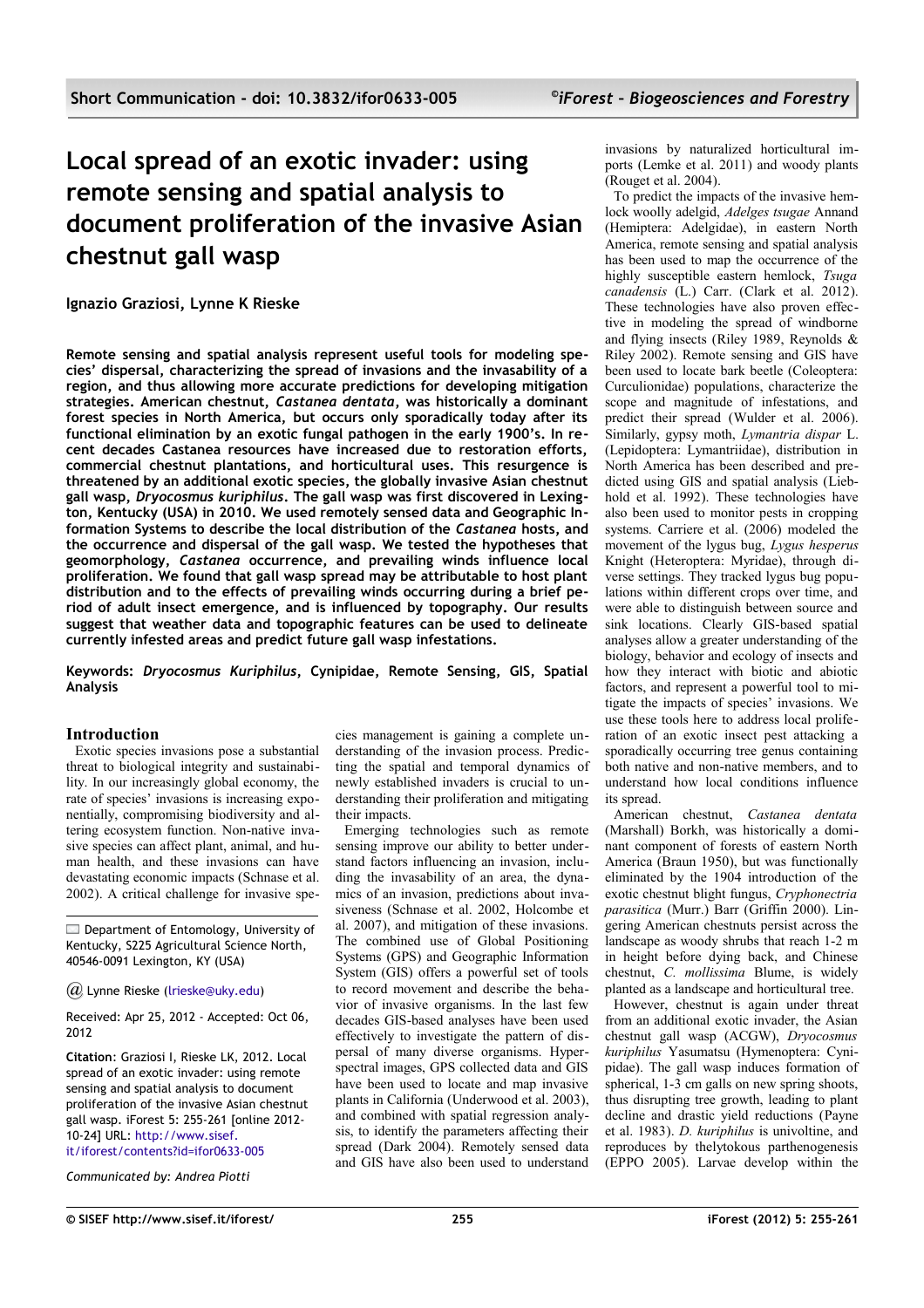# **Local spread of an exotic invader: using remote sensing and spatial analysis to document proliferation of the invasive Asian chestnut gall wasp**

**Ignazio Graziosi, Lynne K Rieske**

**Remote sensing and spatial analysis represent useful tools for modeling species' dispersal, characterizing the spread of invasions and the invasability of a region, and thus allowing more accurate predictions for developing mitigation strategies. American chestnut,** *Castanea dentata***, was historically a dominant forest species in North America, but occurs only sporadically today after its functional elimination by an exotic fungal pathogen in the early 1900's. In recent decades Castanea resources have increased due to restoration efforts, commercial chestnut plantations, and horticultural uses. This resurgence is threatened by an additional exotic species, the globally invasive Asian chestnut gall wasp,** *Dryocosmus kuriphilus***. The gall wasp was first discovered in Lexington, Kentucky (USA) in 2010. We used remotely sensed data and Geographic Information Systems to describe the local distribution of the** *Castanea* **hosts, and the occurrence and dispersal of the gall wasp. We tested the hypotheses that geomorphology,** *Castanea* **occurrence, and prevailing winds influence local proliferation. We found that gall wasp spread may be attributable to host plant distribution and to the effects of prevailing winds occurring during a brief period of adult insect emergence, and is influenced by topography. Our results suggest that weather data and topographic features can be used to delineate currently infested areas and predict future gall wasp infestations.**

**Keywords:** *Dryocosmus Kuriphilus***, Cynipidae, Remote Sensing, GIS, Spatial Analysis**

## **Introduction**

Exotic species invasions pose a substantial threat to biological integrity and sustainability. In our increasingly global economy, the rate of species' invasions is increasing exponentially, compromising biodiversity and altering ecosystem function. Non-native invasive species can affect plant, animal, and human health, and these invasions can have devastating economic impacts (Schnase et al. 2002). A critical challenge for invasive spe-

Department of Entomology, University of Kentucky, S225 Agricultural Science North, 40546-0091 Lexington, KY (USA)

*@* Lynne Rieske [\(lrieske@uky.edu\)](mailto:lrieske@uky.edu)

Received: Apr 25, 2012 - Accepted: Oct 06, 2012

**Citation**: Graziosi I, Rieske LK, 2012. Local spread of an exotic invader: using remote sensing and spatial analysis to document proliferation of the invasive Asian chestnut gall wasp. iForest 5: 255-261 [online 2012- 10-24] URL: [http://www.sisef.](http://www.sisef.it/iforest/contents?id=ifor0633-005) [it/iforest/contents?id=ifor0633-005](http://www.sisef.it/iforest/contents?id=ifor0633-005)

*Communicated by: Andrea Piotti*

cies management is gaining a complete understanding of the invasion process. Predicting the spatial and temporal dynamics of newly established invaders is crucial to understanding their proliferation and mitigating their impacts.

Emerging technologies such as remote sensing improve our ability to better understand factors influencing an invasion, including the invasability of an area, the dynamics of an invasion, predictions about invasiveness (Schnase et al. 2002, Holcombe et al. 2007), and mitigation of these invasions. The combined use of Global Positioning Systems (GPS) and Geographic Information System (GIS) offers a powerful set of tools to record movement and describe the behavior of invasive organisms. In the last few decades GIS-based analyses have been used effectively to investigate the pattern of dispersal of many diverse organisms. Hyperspectral images, GPS collected data and GIS have been used to locate and map invasive plants in California (Underwood et al. 2003), and combined with spatial regression analysis, to identify the parameters affecting their spread (Dark 2004). Remotely sensed data and GIS have also been used to understand

invasions by naturalized horticultural imports (Lemke et al. 2011) and woody plants (Rouget et al. 2004).

To predict the impacts of the invasive hemlock woolly adelgid, *Adelges tsugae* Annand (Hemiptera: Adelgidae), in eastern North America, remote sensing and spatial analysis has been used to map the occurrence of the highly susceptible eastern hemlock, *Tsuga canadensis* (L.) Carr. (Clark et al. 2012). These technologies have also proven effective in modeling the spread of windborne and flying insects (Riley 1989, Reynolds & Riley 2002). Remote sensing and GIS have been used to locate bark beetle (Coleoptera: Curculionidae) populations, characterize the scope and magnitude of infestations, and predict their spread (Wulder et al. 2006). Similarly, gypsy moth, *Lymantria dispar* L. (Lepidoptera: Lymantriidae), distribution in North America has been described and predicted using GIS and spatial analysis (Liebhold et al. 1992). These technologies have also been used to monitor pests in cropping systems. Carriere et al. (2006) modeled the movement of the lygus bug, *Lygus hesperus* Knight (Heteroptera: Myridae), through diverse settings. They tracked lygus bug populations within different crops over time, and were able to distinguish between source and sink locations. Clearly GIS-based spatial analyses allow a greater understanding of the biology, behavior and ecology of insects and how they interact with biotic and abiotic factors, and represent a powerful tool to mitigate the impacts of species' invasions. We use these tools here to address local proliferation of an exotic insect pest attacking a sporadically occurring tree genus containing both native and non-native members, and to understand how local conditions influence its spread.

American chestnut, *Castanea dentata* (Marshall) Borkh, was historically a dominant component of forests of eastern North America (Braun 1950), but was functionally eliminated by the 1904 introduction of the exotic chestnut blight fungus, *Cryphonectria parasitica* (Murr.) Barr (Griffin 2000). Lingering American chestnuts persist across the landscape as woody shrubs that reach 1-2 m in height before dying back, and Chinese chestnut, *C. mollissima* Blume, is widely planted as a landscape and horticultural tree.

However, chestnut is again under threat from an additional exotic invader, the Asian chestnut gall wasp (ACGW), *Dryocosmus kuriphilus* Yasumatsu (Hymenoptera: Cynipidae). The gall wasp induces formation of spherical, 1-3 cm galls on new spring shoots, thus disrupting tree growth, leading to plant decline and drastic yield reductions (Payne et al. 1983). *D. kuriphilus* is univoltine, and reproduces by thelytokous parthenogenesis (EPPO 2005). Larvae develop within the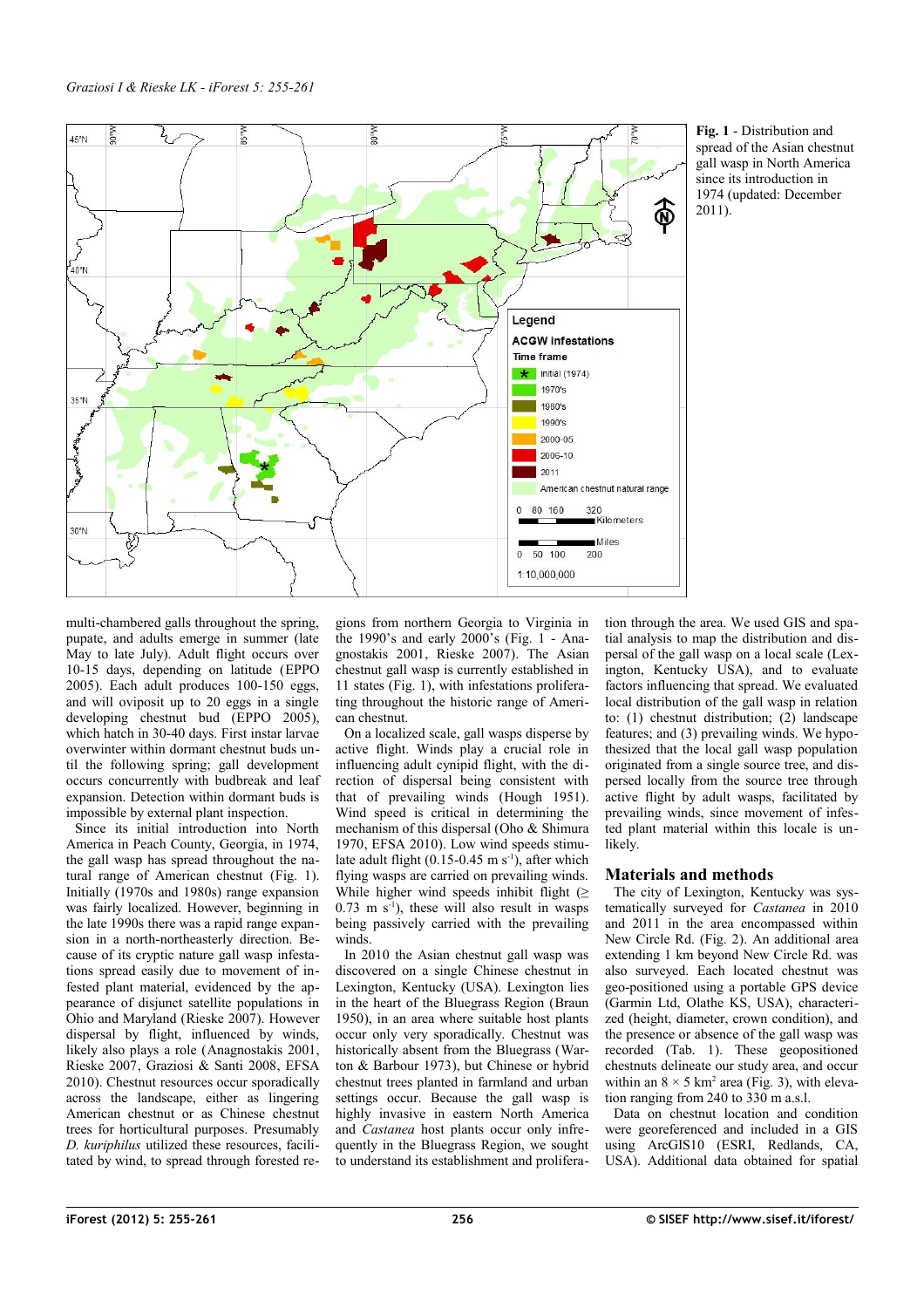

<span id="page-1-0"></span>

multi-chambered galls throughout the spring, pupate, and adults emerge in summer (late May to late July). Adult flight occurs over 10-15 days, depending on latitude (EPPO 2005). Each adult produces 100-150 eggs, and will oviposit up to 20 eggs in a single developing chestnut bud (EPPO 2005), which hatch in 30-40 days. First instar larvae overwinter within dormant chestnut buds until the following spring; gall development occurs concurrently with budbreak and leaf expansion. Detection within dormant buds is impossible by external plant inspection.

Since its initial introduction into North America in Peach County, Georgia, in 1974, the gall wasp has spread throughout the natural range of American chestnut [\(Fig. 1\)](#page-1-0). Initially (1970s and 1980s) range expansion was fairly localized. However, beginning in the late 1990s there was a rapid range expansion in a north-northeasterly direction. Because of its cryptic nature gall wasp infestations spread easily due to movement of infested plant material, evidenced by the appearance of disjunct satellite populations in Ohio and Maryland (Rieske 2007). However dispersal by flight, influenced by winds, likely also plays a role (Anagnostakis 2001, Rieske 2007, Graziosi & Santi 2008, EFSA 2010). Chestnut resources occur sporadically across the landscape, either as lingering American chestnut or as Chinese chestnut trees for horticultural purposes. Presumably *D. kuriphilus* utilized these resources, facilitated by wind, to spread through forested regions from northern Georgia to Virginia in the 1990's and early  $2000$ 's [\(Fig. 1](#page-1-0) - Anagnostakis 2001, Rieske 2007). The Asian chestnut gall wasp is currently established in 11 states [\(Fig. 1\)](#page-1-0), with infestations proliferating throughout the historic range of American chestnut.

On a localized scale, gall wasps disperse by active flight. Winds play a crucial role in influencing adult cynipid flight, with the direction of dispersal being consistent with that of prevailing winds (Hough 1951). Wind speed is critical in determining the mechanism of this dispersal (Oho & Shimura 1970, EFSA 2010). Low wind speeds stimulate adult flight  $(0.15-0.45 \text{ m s}^{-1})$ , after which flying wasps are carried on prevailing winds. While higher wind speeds inhibit flight ( $\geq$  $0.73$  m s<sup>-1</sup>), these will also result in wasps being passively carried with the prevailing winds.

In 2010 the Asian chestnut gall wasp was discovered on a single Chinese chestnut in Lexington, Kentucky (USA). Lexington lies in the heart of the Bluegrass Region (Braun 1950), in an area where suitable host plants occur only very sporadically. Chestnut was historically absent from the Bluegrass (Warton & Barbour 1973), but Chinese or hybrid chestnut trees planted in farmland and urban settings occur. Because the gall wasp is highly invasive in eastern North America and *Castanea* host plants occur only infrequently in the Bluegrass Region, we sought to understand its establishment and proliferation through the area. We used GIS and spatial analysis to map the distribution and dispersal of the gall wasp on a local scale (Lexington, Kentucky USA), and to evaluate factors influencing that spread. We evaluated local distribution of the gall wasp in relation to: (1) chestnut distribution;  $(2)$  landscape features; and (3) prevailing winds. We hypothesized that the local gall wasp population originated from a single source tree, and dispersed locally from the source tree through active flight by adult wasps, facilitated by prevailing winds, since movement of infested plant material within this locale is unlikely.

## **Materials and methods**

The city of Lexington, Kentucky was systematically surveyed for *Castanea* in 2010 and 2011 in the area encompassed within New Circle Rd. [\(Fig. 2\)](#page-2-1). An additional area extending 1 km beyond New Circle Rd. was also surveyed. Each located chestnut was geo-positioned using a portable GPS device (Garmin Ltd, Olathe KS, USA), characterized (height, diameter, crown condition), and the presence or absence of the gall wasp was recorded [\(Tab. 1\)](#page-3-0). These geopositioned chestnuts delineate our study area, and occur within an  $8 \times 5$  km<sup>2</sup> area [\(Fig. 3\)](#page-2-0), with elevation ranging from 240 to 330 m a.s.l.

Data on chestnut location and condition were georeferenced and included in a GIS using ArcGIS10 (ESRI, Redlands, CA, USA). Additional data obtained for spatial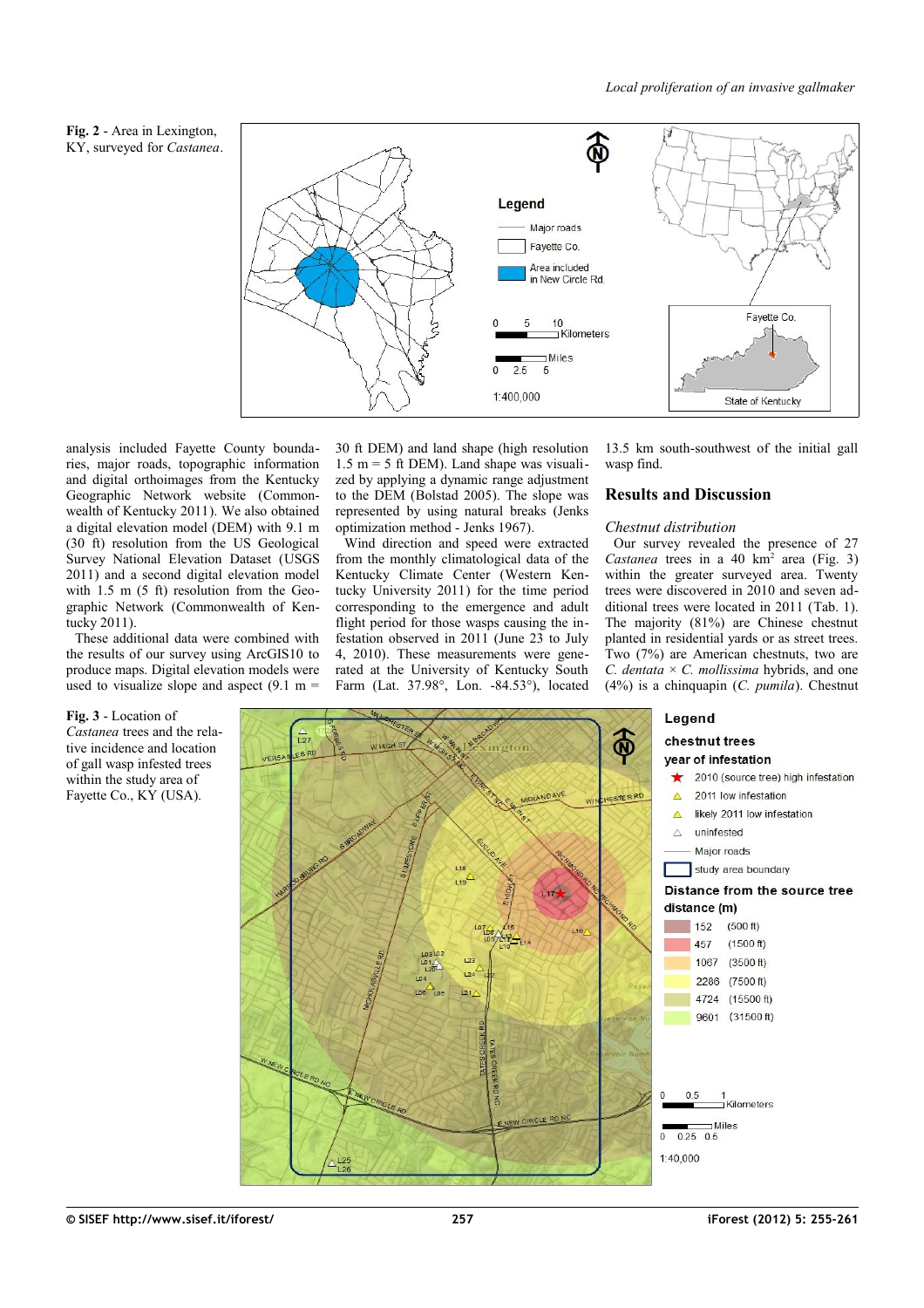<span id="page-2-1"></span>



analysis included Fayette County boundaries, major roads, topographic information and digital orthoimages from the Kentucky Geographic Network website (Commonwealth of Kentucky 2011). We also obtained a digital elevation model (DEM) with 9.1 m (30 ft) resolution from the US Geological Survey National Elevation Dataset (USGS 2011) and a second digital elevation model with 1.5 m (5 ft) resolution from the Geographic Network (Commonwealth of Kentucky 2011).

These additional data were combined with the results of our survey using ArcGIS10 to produce maps. Digital elevation models were used to visualize slope and aspect  $(9.1 \text{ m} =$ 

<span id="page-2-0"></span>**Fig. 3** - Location of *Castanea* trees and the relative incidence and location of gall wasp infested trees within the study area of Fayette Co., KY (USA).

30 ft DEM) and land shape (high resolution 1.5 m = 5 ft DEM). Land shape was visualized by applying a dynamic range adjustment to the DEM (Bolstad 2005). The slope was represented by using natural breaks (Jenks optimization method - Jenks 1967).

Wind direction and speed were extracted from the monthly climatological data of the Kentucky Climate Center (Western Kentucky University 2011) for the time period corresponding to the emergence and adult flight period for those wasps causing the infestation observed in 2011 (June 23 to July 4, 2010). These measurements were generated at the University of Kentucky South Farm (Lat. 37.98°, Lon. -84.53°), located 13.5 km south-southwest of the initial gall wasp find.

#### **Results and Discussion**

#### *Chestnut distribution*

Our survey revealed the presence of 27 Castanea trees in a 40 km<sup>2</sup> area [\(Fig. 3\)](#page-2-0) within the greater surveyed area. Twenty trees were discovered in 2010 and seven additional trees were located in 2011 [\(Tab. 1\)](#page-3-0). The majority (81%) are Chinese chestnut planted in residential yards or as street trees. Two (7%) are American chestnuts, two are *C. dentata* × *C. mollissima* hybrids, and one (4%) is a chinquapin (*C. pumila*). Chestnut

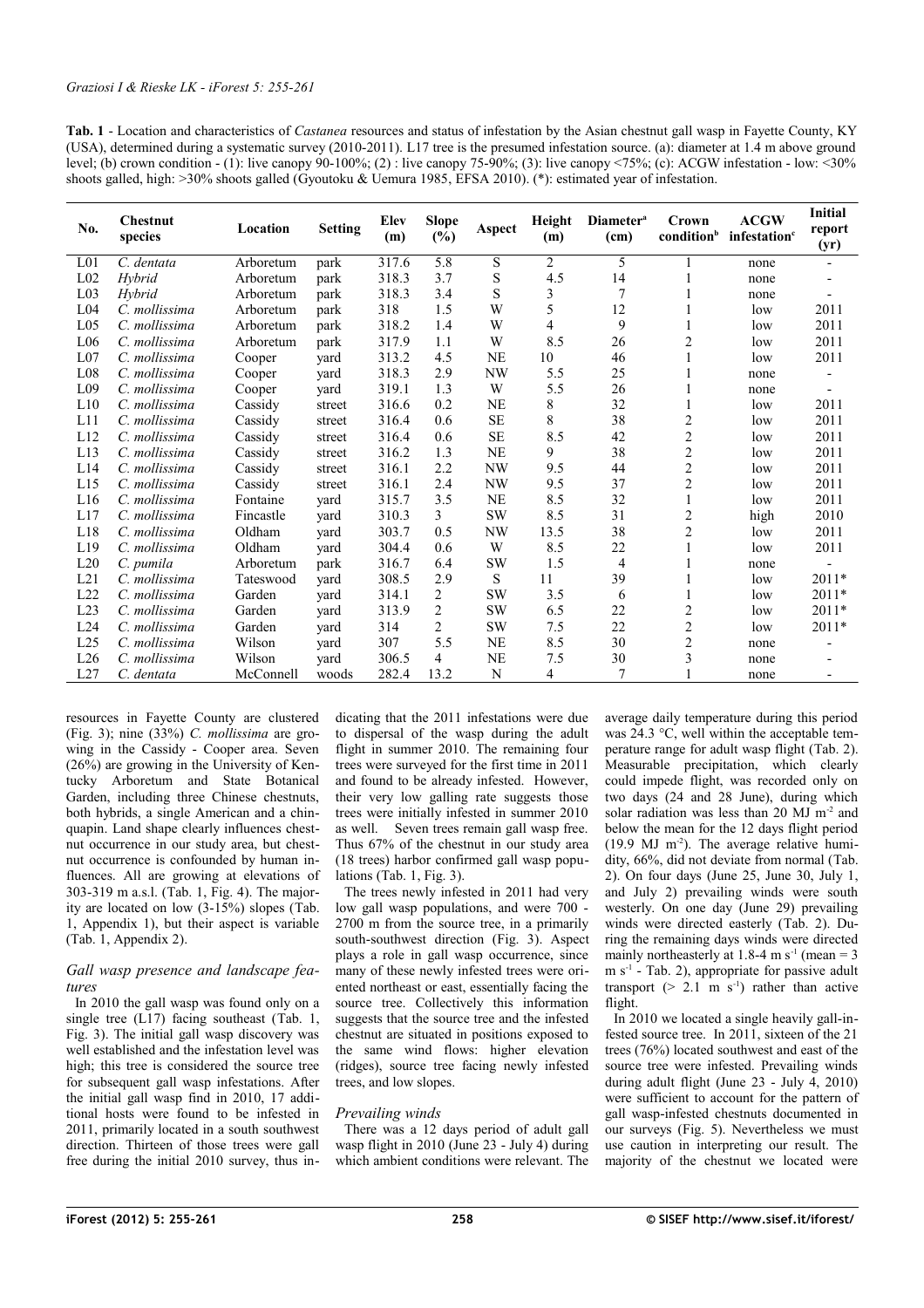<span id="page-3-0"></span>

| Tab. 1 - Location and characteristics of <i>Castanea</i> resources and status of infestation by the Asian chestnut gall wasp in Fayette County, KY            |
|---------------------------------------------------------------------------------------------------------------------------------------------------------------|
| (USA), determined during a systematic survey (2010-2011). L17 tree is the presumed infestation source. (a): diameter at 1.4 m above ground                    |
| level; (b) crown condition - (1): live canopy 90-100%; (2) : live canopy 75-90%; (3): live canopy $\langle 75\%;$ (c): ACGW infestation - low: $\langle 30\%$ |
| shoots galled, high: $>30\%$ shoots galled (Gyoutoku & Uemura 1985, EFSA 2010). (*): estimated year of infestation.                                           |

| No.             | <b>Chestnut</b><br>species | Location  | <b>Setting</b> | <b>Elev</b><br>(m) | <b>Slope</b><br>$(\%)$ | Aspect    | Height<br>(m)  | Diameter <sup>a</sup><br>(cm) | Crown<br>condition <sup>b</sup> | <b>ACGW</b><br>infestation <sup>c</sup> | <b>Initial</b><br>report<br>(yr) |
|-----------------|----------------------------|-----------|----------------|--------------------|------------------------|-----------|----------------|-------------------------------|---------------------------------|-----------------------------------------|----------------------------------|
| L <sub>01</sub> | C. dentata                 | Arboretum | park           | 317.6              | 5.8                    | S         | $\overline{c}$ | 5                             |                                 | none                                    |                                  |
| L <sub>02</sub> | Hybrid                     | Arboretum | park           | 318.3              | 3.7                    | S         | 4.5            | 14                            |                                 | none                                    |                                  |
| L <sub>03</sub> | Hybrid                     | Arboretum | park           | 318.3              | 3.4                    | S         | 3              | 7                             |                                 | none                                    |                                  |
| L <sub>04</sub> | C. mollissima              | Arboretum | park           | 318                | 1.5                    | W         | 5              | 12                            |                                 | low                                     | 2011                             |
| L <sub>05</sub> | C. mollissima              | Arboretum | park           | 318.2              | 1.4                    | W         | 4              | 9                             |                                 | low                                     | 2011                             |
| L <sub>06</sub> | C. mollissima              | Arboretum | park           | 317.9              | 1.1                    | W         | 8.5            | 26                            | $\overline{c}$                  | low                                     | 2011                             |
| L <sub>07</sub> | C. mollissima              | Cooper    | yard           | 313.2              | 4.5                    | <b>NE</b> | 10             | 46                            |                                 | low                                     | 2011                             |
| L <sub>08</sub> | C. mollissima              | Cooper    | yard           | 318.3              | 2.9                    | <b>NW</b> | 5.5            | 25                            |                                 | none                                    |                                  |
| L <sub>09</sub> | C. mollissima              | Cooper    | yard           | 319.1              | 1.3                    | W         | 5.5            | 26                            |                                 | none                                    |                                  |
| L10             | C. mollissima              | Cassidy   | street         | 316.6              | 0.2                    | <b>NE</b> | 8              | 32                            |                                 | low                                     | 2011                             |
| L11             | C. mollissima              | Cassidy   | street         | 316.4              | 0.6                    | SE        | 8              | 38                            | $\overline{c}$                  | low                                     | 2011                             |
| L12             | C. mollissima              | Cassidy   | street         | 316.4              | 0.6                    | SE        | 8.5            | 42                            | $\overline{c}$                  | low                                     | 2011                             |
| L13             | C. mollissima              | Cassidy   | street         | 316.2              | 1.3                    | NE        | 9              | 38                            | $\overline{c}$                  | low                                     | 2011                             |
| L14             | C. mollissima              | Cassidy   | street         | 316.1              | 2.2                    | NW        | 9.5            | 44                            | $\overline{c}$                  | low                                     | 2011                             |
| L15             | C. mollissima              | Cassidy   | street         | 316.1              | 2.4                    | <b>NW</b> | 9.5            | 37                            | $\overline{c}$                  | low                                     | 2011                             |
| L16             | C. mollissima              | Fontaine  | yard           | 315.7              | 3.5                    | <b>NE</b> | 8.5            | 32                            | 1                               | low                                     | 2011                             |
| L17             | C. mollissima              | Fincastle | yard           | 310.3              | 3                      | <b>SW</b> | 8.5            | 31                            | $\overline{c}$                  | high                                    | 2010                             |
| L18             | C. mollissima              | Oldham    | yard           | 303.7              | 0.5                    | NW        | 13.5           | 38                            | 2                               | low                                     | 2011                             |
| L19             | C. mollissima              | Oldham    | vard           | 304.4              | 0.6                    | W         | 8.5            | 22                            |                                 | low                                     | 2011                             |
| L20             | C. pumila                  | Arboretum | park           | 316.7              | 6.4                    | <b>SW</b> | 1.5            | 4                             |                                 | none                                    |                                  |
| L21             | C. mollissima              | Tateswood | vard           | 308.5              | 2.9                    | S         | 11             | 39                            |                                 | low                                     | 2011*                            |
| L22             | C. mollissima              | Garden    | vard           | 314.1              | 2                      | <b>SW</b> | 3.5            | 6                             |                                 | low                                     | 2011*                            |
| L23             | C. mollissima              | Garden    | yard           | 313.9              | 2                      | <b>SW</b> | 6.5            | 22                            | $\overline{c}$                  | low                                     | $2011*$                          |
| L24             | C. mollissima              | Garden    | yard           | 314                | 2                      | <b>SW</b> | $7.5$          | 22                            | $\overline{c}$                  | low                                     | $2011*$                          |
| L25             | C. mollissima              | Wilson    | yard           | 307                | 5.5                    | <b>NE</b> | 8.5            | 30                            | $\overline{c}$                  | none                                    |                                  |
| L26             | C. mollissima              | Wilson    | yard           | 306.5              | 4                      | <b>NE</b> | 7.5            | 30                            | 3                               | none                                    |                                  |
| L27             | C. dentata                 | McConnell | woods          | 282.4              | 13.2                   | N         | 4              | $\overline{7}$                |                                 | none                                    |                                  |

resources in Fayette County are clustered [\(Fig. 3\)](#page-2-0); nine (33%) *C. mollissima* are growing in the Cassidy - Cooper area. Seven (26%) are growing in the University of Kentucky Arboretum and State Botanical Garden, including three Chinese chestnuts, both hybrids, a single American and a chinquapin. Land shape clearly influences chestnut occurrence in our study area, but chestnut occurrence is confounded by human influences. All are growing at elevations of 303-319 m a.s.l. [\(Tab. 1,](#page-3-0) [Fig. 4\)](#page-4-2). The majority are located on low  $(3-15%)$  slopes [\(Tab.](#page-3-0) [1,](#page-3-0) [Appendix 1\)](#page-6-1), but their aspect is variable [\(Tab. 1,](#page-3-0) [Appendix 2\)](#page-6-0).

#### *Gall wasp presence and landscape features*

In 2010 the gall wasp was found only on a single tree (L17) facing southeast [\(Tab. 1,](#page-3-0) [Fig. 3\)](#page-2-0). The initial gall wasp discovery was well established and the infestation level was high; this tree is considered the source tree for subsequent gall wasp infestations. After the initial gall wasp find in 2010, 17 additional hosts were found to be infested in 2011, primarily located in a south southwest direction. Thirteen of those trees were gall free during the initial 2010 survey, thus indicating that the 2011 infestations were due to dispersal of the wasp during the adult flight in summer 2010. The remaining four trees were surveyed for the first time in 2011 and found to be already infested. However, their very low galling rate suggests those trees were initially infested in summer 2010 as well. Seven trees remain gall wasp free. Thus 67% of the chestnut in our study area (18 trees) harbor confirmed gall wasp populations [\(Tab. 1,](#page-3-0) [Fig. 3\)](#page-2-0).

The trees newly infested in 2011 had very low gall wasp populations, and were 700 -2700 m from the source tree, in a primarily south-southwest direction [\(Fig. 3\)](#page-2-0). Aspect plays a role in gall wasp occurrence, since many of these newly infested trees were oriented northeast or east, essentially facing the source tree. Collectively this information suggests that the source tree and the infested chestnut are situated in positions exposed to the same wind flows: higher elevation (ridges), source tree facing newly infested trees, and low slopes.

## *Prevailing winds*

There was a 12 days period of adult gall wasp flight in 2010 (June 23 - July 4) during which ambient conditions were relevant. The average daily temperature during this period was 24.3 °C, well within the acceptable temperature range for adult wasp flight [\(Tab. 2\)](#page-4-1). Measurable precipitation, which clearly could impede flight, was recorded only on two days (24 and 28 June), during which solar radiation was less than  $20 \text{ MJ m}^2$  and below the mean for the 12 days flight period  $(19.9 \text{ MJ } \text{m}^2)$ . The average relative humidity, 66%, did not deviate from normal [\(Tab.](#page-4-1) [2\)](#page-4-1). On four days (June 25, June 30, July 1, and July 2) prevailing winds were south westerly. On one day (June 29) prevailing winds were directed easterly [\(Tab. 2\)](#page-4-1). During the remaining days winds were directed mainly northeasterly at 1.8-4 m  $s^{-1}$  (mean = 3)  $m s<sup>-1</sup>$  - [Tab. 2\)](#page-4-1), appropriate for passive adult transport  $(> 2.1 \text{ m s}^{-1})$  rather than active flight.

In 2010 we located a single heavily gall-infested source tree. In 2011, sixteen of the 21 trees (76%) located southwest and east of the source tree were infested. Prevailing winds during adult flight (June 23 - July 4, 2010) were sufficient to account for the pattern of gall wasp-infested chestnuts documented in our surveys [\(Fig. 5\)](#page-4-0). Nevertheless we must use caution in interpreting our result. The majority of the chestnut we located were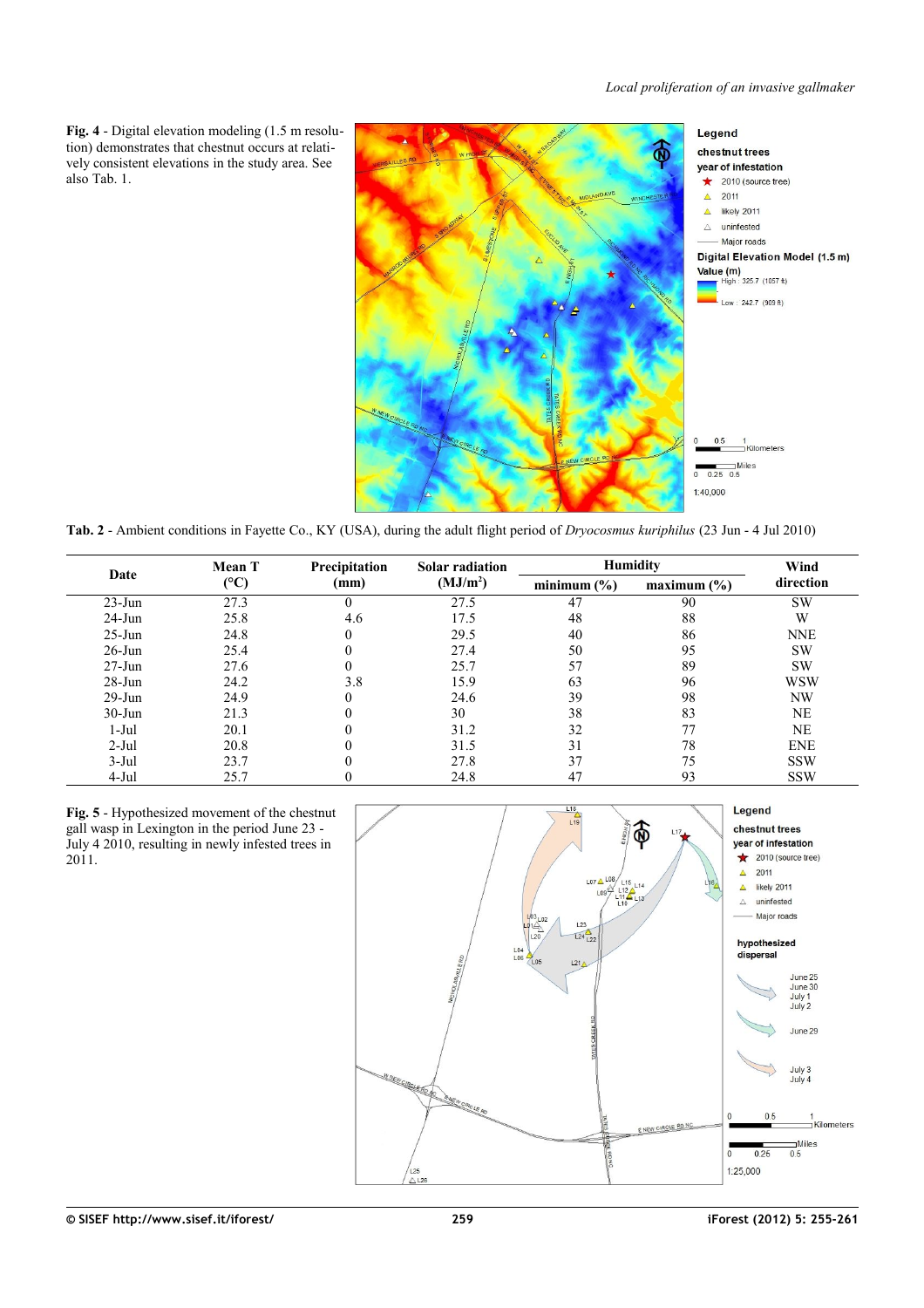<span id="page-4-2"></span>**Fig. 4** - Digital elevation modeling (1.5 m resolution) demonstrates that chestnut occurs at relatively consistent elevations in the study area. See also [Tab. 1.](#page-3-0)



<span id="page-4-1"></span>**Tab. 2** - Ambient conditions in Fayette Co., KY (USA), during the adult flight period of *Dryocosmus kuriphilus* (23 Jun - 4 Jul 2010)

|            | <b>Mean T</b> | Precipitation | <b>Solar radiation</b> | <b>Humidity</b> | Wind        |            |  |
|------------|---------------|---------------|------------------------|-----------------|-------------|------------|--|
| Date       | (C)           | (mm)          | (MJ/m <sup>2</sup> )   | minimum $(\% )$ | maximum (%) | direction  |  |
| $23$ -Jun  | 27.3          | $\theta$      | 27.5                   | 47              | 90          | <b>SW</b>  |  |
| $24-Jun$   | 25.8          | 4.6           | 17.5                   | 48              | 88          | W          |  |
| $25 - Jun$ | 24.8          | $\theta$      | 29.5                   | 40              | 86          | <b>NNE</b> |  |
| $26$ -Jun  | 25.4          |               | 27.4                   | 50              | 95          | <b>SW</b>  |  |
| $27 - Jun$ | 27.6          | $\Omega$      | 25.7                   | 57              | 89          | <b>SW</b>  |  |
| $28-Jun$   | 24.2          | 3.8           | 15.9                   | 63              | 96          | <b>WSW</b> |  |
| $29-Jun$   | 24.9          | $\Omega$      | 24.6                   | 39              | 98          | NW         |  |
| $30-J$ un  | 21.3          |               | 30                     | 38              | 83          | <b>NE</b>  |  |
| $1-Jul$    | 20.1          |               | 31.2                   | 32              | 77          | NE         |  |
| $2-Jul$    | 20.8          |               | 31.5                   | 31              | 78          | <b>ENE</b> |  |
| $3-Jul$    | 23.7          |               | 27.8                   | 37              | 75          | <b>SSW</b> |  |
| $4-Jul$    | 25.7          |               | 24.8                   | 47              | 93          | <b>SSW</b> |  |

<span id="page-4-0"></span>**Fig. 5** - Hypothesized movement of the chestnut gall wasp in Lexington in the period June 23 - July 4 2010, resulting in newly infested trees in 2011.

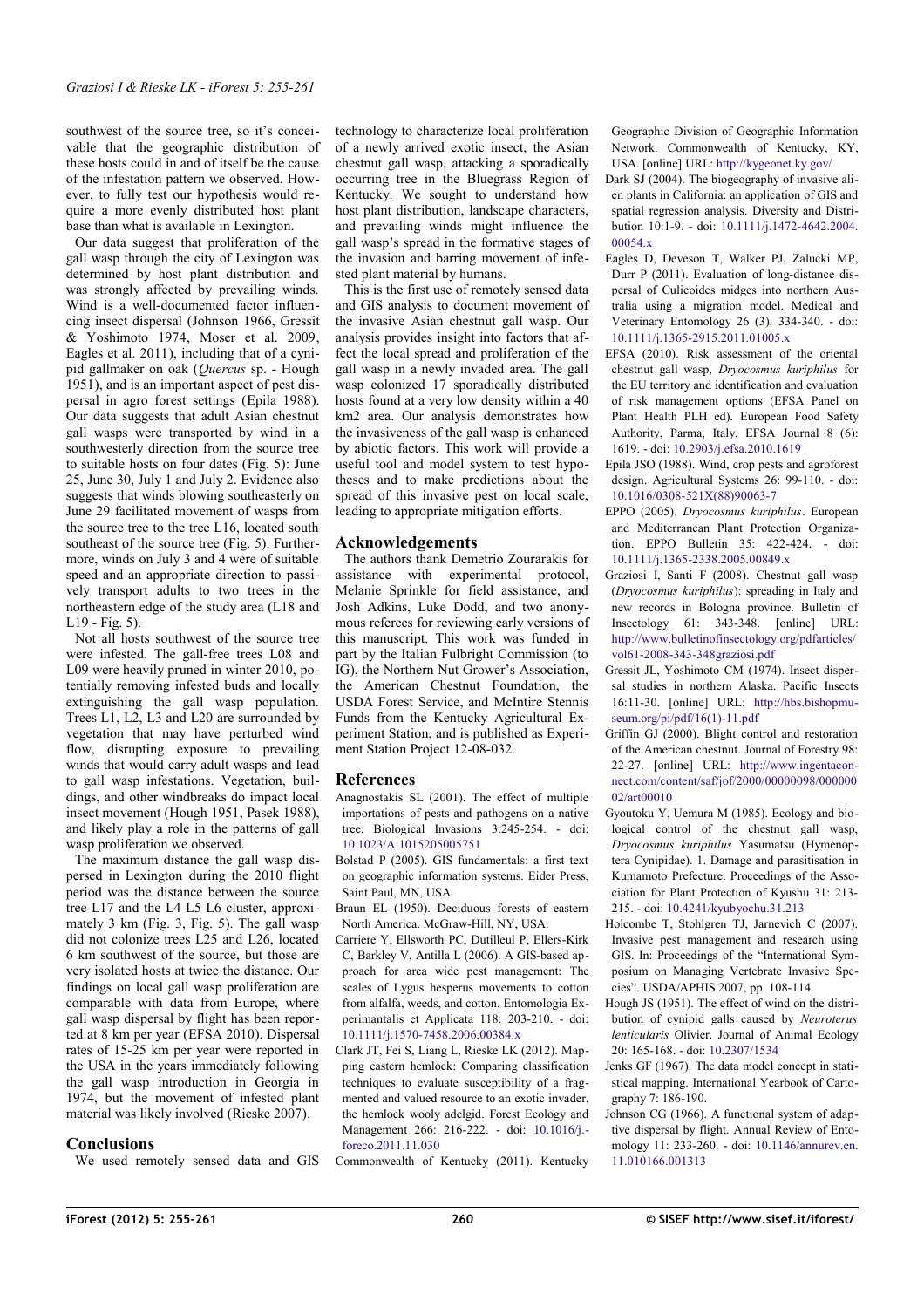southwest of the source tree, so it's conceivable that the geographic distribution of these hosts could in and of itself be the cause of the infestation pattern we observed. However, to fully test our hypothesis would require a more evenly distributed host plant base than what is available in Lexington.

Our data suggest that proliferation of the gall wasp through the city of Lexington was determined by host plant distribution and was strongly affected by prevailing winds. Wind is a well-documented factor influencing insect dispersal (Johnson 1966, Gressit & Yoshimoto 1974, Moser et al. 2009, Eagles et al. 2011), including that of a cynipid gallmaker on oak (*Quercus* sp. - Hough 1951), and is an important aspect of pest dispersal in agro forest settings (Epila 1988). Our data suggests that adult Asian chestnut gall wasps were transported by wind in a southwesterly direction from the source tree to suitable hosts on four dates [\(Fig. 5\)](#page-4-0): June 25, June 30, July 1 and July 2. Evidence also suggests that winds blowing southeasterly on June 29 facilitated movement of wasps from the source tree to the tree L16, located south southeast of the source tree [\(Fig. 5\)](#page-4-0). Furthermore, winds on July 3 and 4 were of suitable speed and an appropriate direction to passively transport adults to two trees in the northeastern edge of the study area (L18 and L19 - [Fig. 5\)](#page-4-0).

Not all hosts southwest of the source tree were infested. The gall-free trees L08 and L09 were heavily pruned in winter 2010, potentially removing infested buds and locally extinguishing the gall wasp population. Trees L1, L2, L3 and L20 are surrounded by vegetation that may have perturbed wind flow, disrupting exposure to prevailing winds that would carry adult wasps and lead to gall wasp infestations. Vegetation, buildings, and other windbreaks do impact local insect movement (Hough 1951, Pasek 1988), and likely play a role in the patterns of gall wasp proliferation we observed.

The maximum distance the gall wasp dispersed in Lexington during the 2010 flight period was the distance between the source tree L17 and the L4 L5 L6 cluster, approximately 3 km [\(Fig. 3,](#page-2-0) [Fig. 5\)](#page-4-0). The gall wasp did not colonize trees L25 and L26, located 6 km southwest of the source, but those are very isolated hosts at twice the distance. Our findings on local gall wasp proliferation are comparable with data from Europe, where gall wasp dispersal by flight has been reported at 8 km per year (EFSA 2010). Dispersal rates of 15-25 km per year were reported in the USA in the years immediately following the gall wasp introduction in Georgia in 1974, but the movement of infested plant material was likely involved (Rieske 2007).

#### **Conclusions**

We used remotely sensed data and GIS

technology to characterize local proliferation of a newly arrived exotic insect, the Asian chestnut gall wasp, attacking a sporadically occurring tree in the Bluegrass Region of Kentucky. We sought to understand how host plant distribution, landscape characters, and prevailing winds might influence the gall wasp's spread in the formative stages of the invasion and barring movement of infested plant material by humans.

This is the first use of remotely sensed data and GIS analysis to document movement of the invasive Asian chestnut gall wasp. Our analysis provides insight into factors that affect the local spread and proliferation of the gall wasp in a newly invaded area. The gall wasp colonized 17 sporadically distributed hosts found at a very low density within a 40 km2 area. Our analysis demonstrates how the invasiveness of the gall wasp is enhanced by abiotic factors. This work will provide a useful tool and model system to test hypotheses and to make predictions about the spread of this invasive pest on local scale, leading to appropriate mitigation efforts.

#### **Acknowledgements**

The authors thank Demetrio Zourarakis for assistance with experimental protocol, Melanie Sprinkle for field assistance, and Josh Adkins, Luke Dodd, and two anonymous referees for reviewing early versions of this manuscript. This work was funded in part by the Italian Fulbright Commission (to IG), the Northern Nut Grower's Association, the American Chestnut Foundation, the USDA Forest Service, and McIntire Stennis Funds from the Kentucky Agricultural Experiment Station, and is published as Experiment Station Project 12-08-032.

## **References**

Anagnostakis SL (2001). The effect of multiple importations of pests and pathogens on a native tree. Biological Invasions 3:245-254. - doi: [10.1023/A:1015205005751](http://dx.doi.org/10.1023/A:1015205005751)

Bolstad P (2005). GIS fundamentals: a first text on geographic information systems. Eider Press, Saint Paul, MN, USA.

- Braun EL (1950). Deciduous forests of eastern North America. McGraw-Hill, NY, USA.
- Carriere Y, Ellsworth PC, Dutilleul P, Ellers-Kirk C, Barkley V, Antilla L (2006). A GIS-based approach for area wide pest management: The scales of Lygus hesperus movements to cotton from alfalfa, weeds, and cotton. Entomologia Experimantalis et Applicata 118: 203-210. - doi: [10.1111/j.1570-7458.2006.00384.x](http://dx.doi.org/10.1111/j.1570-7458.2006.00384.x)
- Clark JT, Fei S, Liang L, Rieske LK (2012). Mapping eastern hemlock: Comparing classification techniques to evaluate susceptibility of a fragmented and valued resource to an exotic invader, the hemlock wooly adelgid. Forest Ecology and Management 266: 216-222. - doi: [10.1016/j.](http://dx.doi.org/10.1016/j.foreco.2011.11.030) [foreco.2011.11.030](http://dx.doi.org/10.1016/j.foreco.2011.11.030)

Commonwealth of Kentucky (2011). Kentucky

Geographic Division of Geographic Information Network. Commonwealth of Kentucky, KY, USA. [online] URL:<http://kygeonet.ky.gov/>

- Dark SJ (2004). The biogeography of invasive alien plants in California: an application of GIS and spatial regression analysis. Diversity and Distribution 10:1-9. - doi: [10.1111/j.1472-4642.2004.](http://dx.doi.org/10.1111/j.1472-4642.2004.00054.x) 00054 x
- Eagles D, Deveson T, Walker PJ, Zalucki MP, Durr P (2011). Evaluation of long-distance dispersal of Culicoides midges into northern Australia using a migration model. Medical and Veterinary Entomology 26 (3): 334-340. - doi: [10.1111/j.1365-2915.2011.01005.x](http://dx.doi.org/10.1111/j.1365-2915.2011.01005.x)
- EFSA (2010). Risk assessment of the oriental chestnut gall wasp, *Dryocosmus kuriphilus* for the EU territory and identification and evaluation of risk management options (EFSA Panel on Plant Health PLH ed). European Food Safety Authority, Parma, Italy. EFSA Journal 8 (6): 1619. - doi: [10.2903/j.efsa.2010.1619](http://dx.doi.org/10.2903/j.efsa.2010.1619)
- Epila JSO (1988). Wind, crop pests and agroforest design. Agricultural Systems 26: 99-110. - doi: [10.1016/0308-521X\(88\)90063-7](http://dx.doi.org/10.1016/0308-521X(88)90063-7)
- EPPO (2005). *Dryocosmus kuriphilus*. European and Mediterranean Plant Protection Organization. EPPO Bulletin 35: 422-424. - doi: [10.1111/j.1365-2338.2005.00849.x](http://dx.doi.org/10.1111/j.1365-2338.2005.00849.x)
- Graziosi I, Santi F (2008). Chestnut gall wasp (*Dryocosmus kuriphilus*): spreading in Italy and new records in Bologna province. Bulletin of Insectology 61: 343-348. [online] URL: [http://www.bulletinofinsectology.org/pdfarticles/](http://www.bulletinofinsectology.org/pdfarticles/vol61-2008-343-348graziosi.pdf) [vol61-2008-343-348graziosi.pdf](http://www.bulletinofinsectology.org/pdfarticles/vol61-2008-343-348graziosi.pdf)
- Gressit JL, Yoshimoto CM (1974). Insect dispersal studies in northern Alaska. Pacific Insects 16:11-30. [online] URL: [http://hbs.bishopmu](http://hbs.bishopmuseum.org/pi/pdf/16(1)-11.pdf)[seum.org/pi/pdf/16\(1\)-11.pdf](http://hbs.bishopmuseum.org/pi/pdf/16(1)-11.pdf)
- Griffin GJ (2000). Blight control and restoration of the American chestnut. Journal of Forestry 98: 22-27. [online] URL: [http://www.ingentacon](http://www.ingentaconnect.com/content/saf/jof/2000/00000098/00000002/art00010)[nect.com/content/saf/jof/2000/00000098/000000](http://www.ingentaconnect.com/content/saf/jof/2000/00000098/00000002/art00010) [02/art00010](http://www.ingentaconnect.com/content/saf/jof/2000/00000098/00000002/art00010)
- Gyoutoku Y, Uemura M (1985). Ecology and biological control of the chestnut gall wasp, *Dryocosmus kuriphilus* Yasumatsu (Hymenoptera Cynipidae). 1. Damage and parasitisation in Kumamoto Prefecture. Proceedings of the Association for Plant Protection of Kyushu 31: 213- 215. - doi: [10.4241/kyubyochu.31.213](http://dx.doi.org/10.4241/kyubyochu.31.213)
- Holcombe T, Stohlgren TJ, Jarnevich C (2007). Invasive pest management and research using GIS. In: Proceedings of the "International Symposium on Managing Vertebrate Invasive Species". USDA/APHIS 2007, pp. 108-114.
- Hough JS (1951). The effect of wind on the distribution of cynipid galls caused by *Neuroterus lenticularis* Olivier. Journal of Animal Ecology 20: 165-168. - doi: [10.2307/1534](http://dx.doi.org/10.2307/1534)
- Jenks GF (1967). The data model concept in statistical mapping. International Yearbook of Cartography 7: 186-190.
- Johnson CG (1966). A functional system of adaptive dispersal by flight. Annual Review of Entomology 11: 233-260. - doi: [10.1146/annurev.en.](http://dx.doi.org/10.1146/annurev.en.11.010166.001313) [11.010166.001313](http://dx.doi.org/10.1146/annurev.en.11.010166.001313)